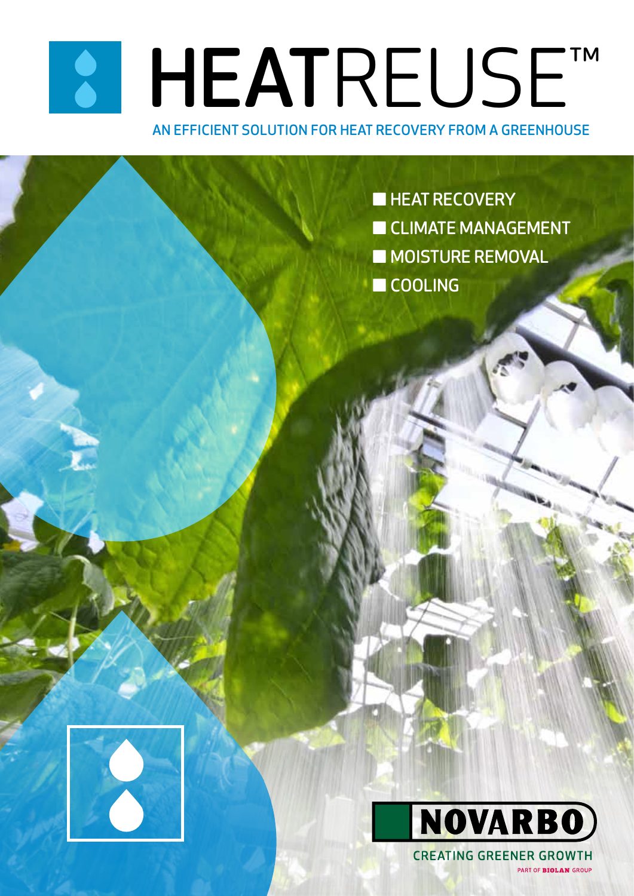# KI HEATREUSE™

LAND STREET

#### AN EFFICIENT SOLUTION FOR HEAT RECOVERY FROM A GREENHOUSE

KASVUALUSTAT HEAT RECOVERY<br>■ HEAT RECOVERY WOLFFURE REMOVAL **EXCLIMATE MANAGEMENT** ■ MOISTURE REMOVAL ■ COOLING



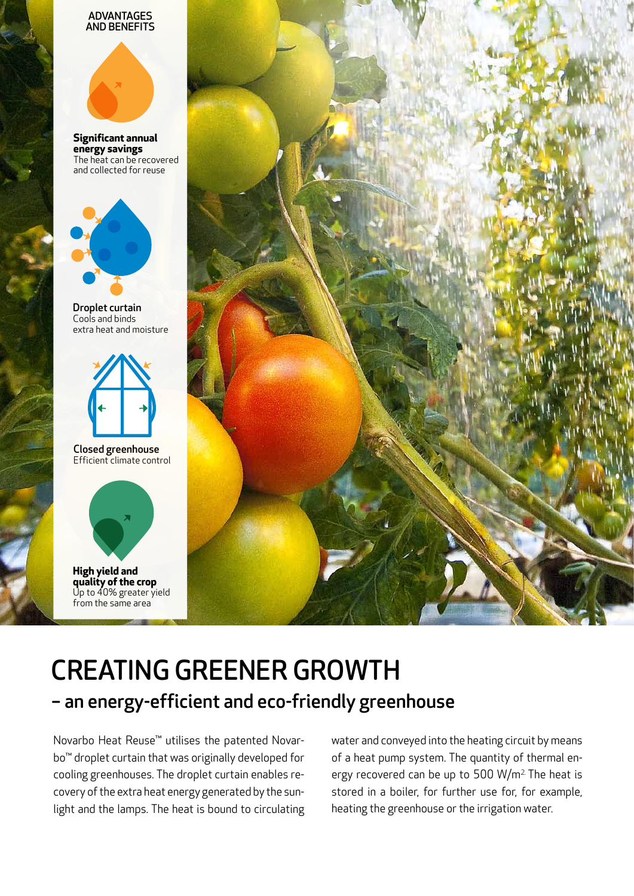#### ADVANTAGES AND BENEFITS



**Significant annual energy savings**  The heat can be recovered and collected for reuse



Droplet curtain Cools and binds extra heat and moisture



Closed greenhouse Efficient climate control



**quality of the crop**  Up to 40% greater yield from the same area



# CREATING GREENER GROWTH – an energy-efficient and eco-friendly greenhouse

Novarbo Heat Reuse™ utilises the patented Novarbo™ droplet curtain that was originally developed for cooling greenhouses. The droplet curtain enables recovery of the extra heat energy generated by the sunlight and the lamps. The heat is bound to circulating water and conveyed into the heating circuit by means of a heat pump system. The quantity of thermal energy recovered can be up to 500 W/m<sup>2.</sup> The heat is stored in a boiler, for further use for, for example, heating the greenhouse or the irrigation water.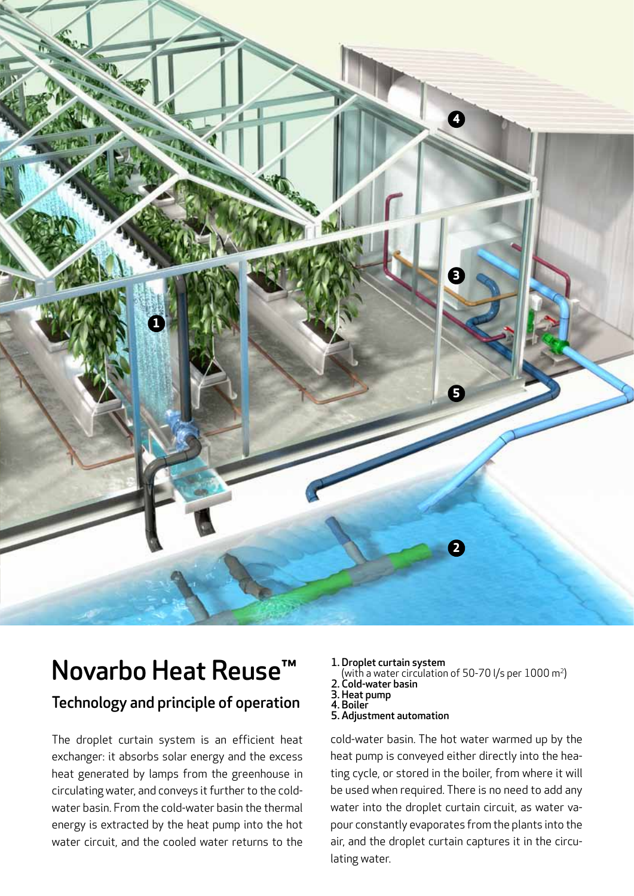

# Novarbo Heat Reuse™

#### Technology and principle of operation

The droplet curtain system is an efficient heat exchanger: it absorbs solar energy and the excess heat generated by lamps from the greenhouse in circulating water, and conveys it further to the coldwater basin. From the cold-water basin the thermal energy is extracted by the heat pump into the hot water circuit, and the cooled water returns to the

- 1. Droplet curtain system
- (with a water circulation of 50-70 l/s per  $1000 \text{ m}^2$ )
- 2. Cold-water basin
- 3. Heat pump 4. Boiler
- 5. Adjustment automation

cold-water basin. The hot water warmed up by the heat pump is conveyed either directly into the heating cycle, or stored in the boiler, from where it will be used when required. There is no need to add any water into the droplet curtain circuit, as water vapour constantly evaporates from the plants into the air, and the droplet curtain captures it in the circulating water.